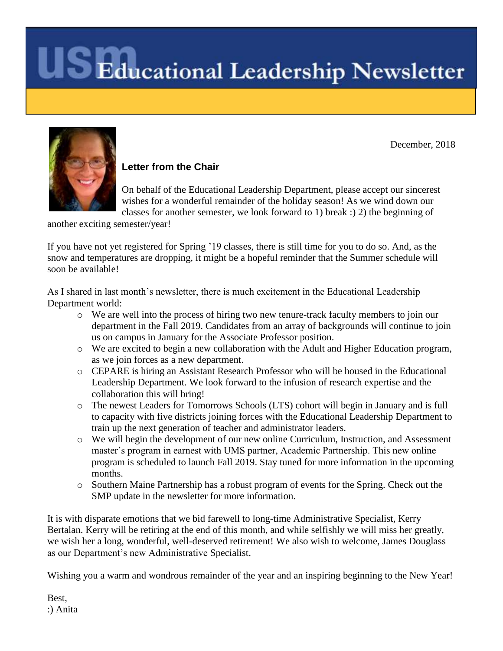

#### **Letter from the Chair**

On behalf of the Educational Leadership Department, please accept our sincerest wishes for a wonderful remainder of the holiday season! As we wind down our classes for another semester, we look forward to 1) break :) 2) the beginning of

December, 2018

another exciting semester/year!

If you have not yet registered for Spring '19 classes, there is still time for you to do so. And, as the snow and temperatures are dropping, it might be a hopeful reminder that the Summer schedule will soon be available!

As I shared in last month's newsletter, there is much excitement in the Educational Leadership Department world:

- o We are well into the process of hiring two new tenure-track faculty members to join our department in the Fall 2019. Candidates from an array of backgrounds will continue to join us on campus in January for the Associate Professor position.
- o We are excited to begin a new collaboration with the Adult and Higher Education program, as we join forces as a new department.
- o CEPARE is hiring an Assistant Research Professor who will be housed in the Educational Leadership Department. We look forward to the infusion of research expertise and the collaboration this will bring!
- o The newest Leaders for Tomorrows Schools (LTS) cohort will begin in January and is full to capacity with five districts joining forces with the Educational Leadership Department to train up the next generation of teacher and administrator leaders.
- o We will begin the development of our new online Curriculum, Instruction, and Assessment master's program in earnest with UMS partner, Academic Partnership. This new online program is scheduled to launch Fall 2019. Stay tuned for more information in the upcoming months.
- o Southern Maine Partnership has a robust program of events for the Spring. Check out the SMP update in the newsletter for more information.

It is with disparate emotions that we bid farewell to long-time Administrative Specialist, Kerry Bertalan. Kerry will be retiring at the end of this month, and while selfishly we will miss her greatly, we wish her a long, wonderful, well-deserved retirement! We also wish to welcome, James Douglass as our Department's new Administrative Specialist.

Wishing you a warm and wondrous remainder of the year and an inspiring beginning to the New Year!

Best, :) Anita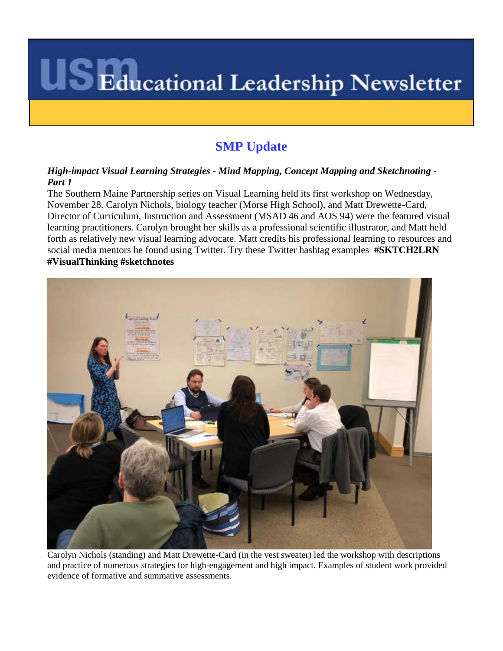### **SMP Update**

#### *High-impact Visual Learning Strategies - Mind Mapping, Concept Mapping and Sketchnoting - Part 1*

The Southern Maine Partnership series on Visual Learning held its first workshop on Wednesday, November 28. Carolyn Nichols, biology teacher (Morse High School), and Matt Drewette-Card, Director of Curriculum, Instruction and Assessment (MSAD 46 and AOS 94) were the featured visual learning practitioners. Carolyn brought her skills as a professional scientific illustrator, and Matt held forth as relatively new visual learning advocate. Matt credits his professional learning to resources and social media mentors he found using Twitter. Try these Twitter hashtag examples **#SKTCH2LRN #VisualThinking #sketchnotes** 



Carolyn Nichols (standing) and Matt Drewette-Card (in the vest sweater) led the workshop with descriptions and practice of numerous strategies for high-engagement and high impact. Examples of student work provided evidence of formative and summative assessments.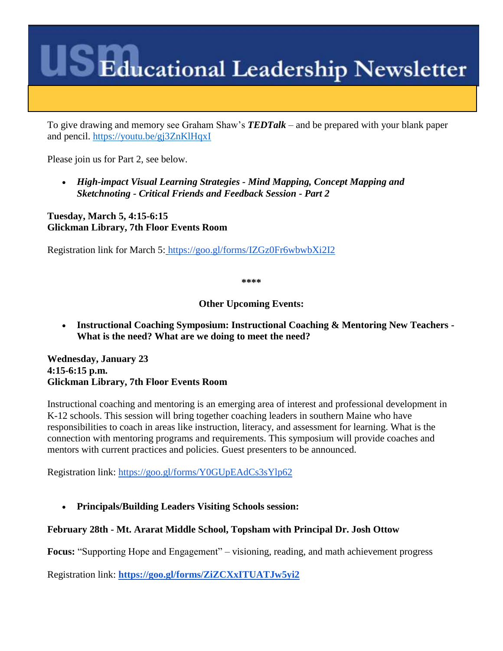To give drawing and memory see Graham Shaw's *TEDTalk* – and be prepared with your blank paper and pencil.<https://youtu.be/gj3ZnKlHqxI>

Please join us for Part 2, see below.

 *High-impact Visual Learning Strategies - Mind Mapping, Concept Mapping and Sketchnoting - Critical Friends and Feedback Session - Part 2*

**Tuesday, March 5, 4:15-6:15 Glickman Library, 7th Floor Events Room**

Registration link for March 5: <https://goo.gl/forms/IZGz0Fr6wbwbXi2I2>

**\*\*\*\***

**Other Upcoming Events:**

 **Instructional Coaching Symposium: Instructional Coaching & Mentoring New Teachers - What is the need? What are we doing to meet the need?**

**Wednesday, January 23 4:15-6:15 p.m. Glickman Library, 7th Floor Events Room**

Instructional coaching and mentoring is an emerging area of interest and professional development in K-12 schools. This session will bring together coaching leaders in southern Maine who have responsibilities to coach in areas like instruction, literacy, and assessment for learning. What is the connection with mentoring programs and requirements. This symposium will provide coaches and mentors with current practices and policies. Guest presenters to be announced.

Registration link:<https://goo.gl/forms/Y0GUpEAdCs3sYlp62>

**Principals/Building Leaders Visiting Schools session:**

#### **February 28th - Mt. Ararat Middle School, Topsham with Principal Dr. Josh Ottow**

**Focus:** "Supporting Hope and Engagement" – visioning, reading, and math achievement progress

Registration link: **<https://goo.gl/forms/ZiZCXxITUATJw5yi2>**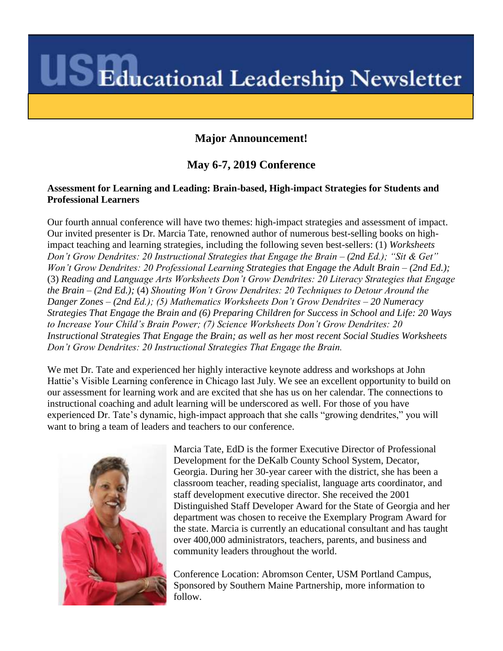#### **Major Announcement!**

#### **May 6-7, 2019 Conference**

#### **Assessment for Learning and Leading: Brain-based, High-impact Strategies for Students and Professional Learners**

Our fourth annual conference will have two themes: high-impact strategies and assessment of impact. Our invited presenter is Dr. Marcia Tate, renowned author of numerous best-selling books on highimpact teaching and learning strategies, including the following seven best-sellers: (1) *Worksheets Don't Grow Dendrites: 20 Instructional Strategies that Engage the Brain – (2nd Ed.); "Sit & Get" Won't Grow Dendrites: 20 Professional Learning Strategies that Engage the Adult Brain – (2nd Ed.);*  (3) *Reading and Language Arts Worksheets Don't Grow Dendrites: 20 Literacy Strategies that Engage the Brain – (2nd Ed.);* (4) *Shouting Won't Grow Dendrites: 20 Techniques to Detour Around the Danger Zones – (2nd Ed.); (5) Mathematics Worksheets Don't Grow Dendrites – 20 Numeracy Strategies That Engage the Brain and (6) Preparing Children for Success in School and Life: 20 Ways to Increase Your Child's Brain Power; (7) Science Worksheets Don't Grow Dendrites: 20 Instructional Strategies That Engage the Brain; as well as her most recent Social Studies Worksheets Don't Grow Dendrites: 20 Instructional Strategies That Engage the Brain.* 

We met Dr. Tate and experienced her highly interactive keynote address and workshops at John Hattie's Visible Learning conference in Chicago last July. We see an excellent opportunity to build on our assessment for learning work and are excited that she has us on her calendar. The connections to instructional coaching and adult learning will be underscored as well. For those of you have experienced Dr. Tate's dynamic, high-impact approach that she calls "growing dendrites," you will want to bring a team of leaders and teachers to our conference.



Marcia Tate, EdD is the former Executive Director of Professional Development for the DeKalb County School System, Decator, Georgia. During her 30-year career with the district, she has been a classroom teacher, reading specialist, language arts coordinator, and staff development executive director. She received the 2001 Distinguished Staff Developer Award for the State of Georgia and her department was chosen to receive the Exemplary Program Award for the state. Marcia is currently an educational consultant and has taught over 400,000 administrators, teachers, parents, and business and community leaders throughout the world.

Conference Location: Abromson Center, USM Portland Campus, Sponsored by Southern Maine Partnership, more information to follow.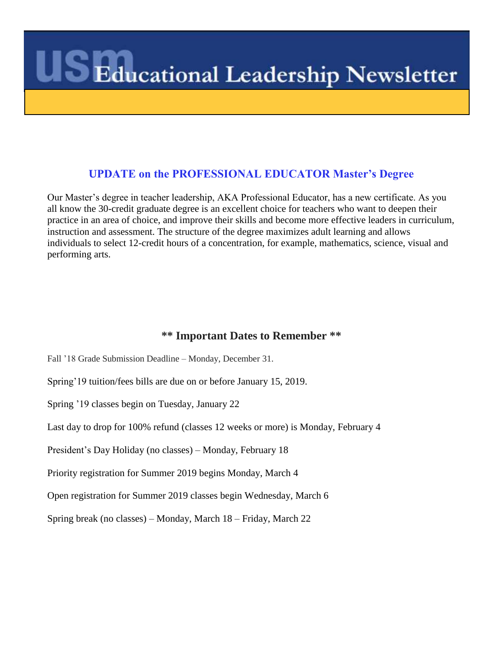#### **UPDATE on the PROFESSIONAL EDUCATOR Master's Degree**

Our Master's degree in teacher leadership, AKA Professional Educator, has a new certificate. As you all know the 30-credit graduate degree is an excellent choice for teachers who want to deepen their practice in an area of choice, and improve their skills and become more effective leaders in curriculum, instruction and assessment. The structure of the degree maximizes adult learning and allows individuals to select 12-credit hours of a concentration, for example, mathematics, science, visual and performing arts.

#### **\*\* Important Dates to Remember \*\***

Fall '18 Grade Submission Deadline – Monday, December 31.

Spring'19 tuition/fees bills are due on or before January 15, 2019.

Spring '19 classes begin on Tuesday, January 22

Last day to drop for 100% refund (classes 12 weeks or more) is Monday, February 4

President's Day Holiday (no classes) – Monday, February 18

Priority registration for Summer 2019 begins Monday, March 4

Open registration for Summer 2019 classes begin Wednesday, March 6

Spring break (no classes) – Monday, March 18 – Friday, March 22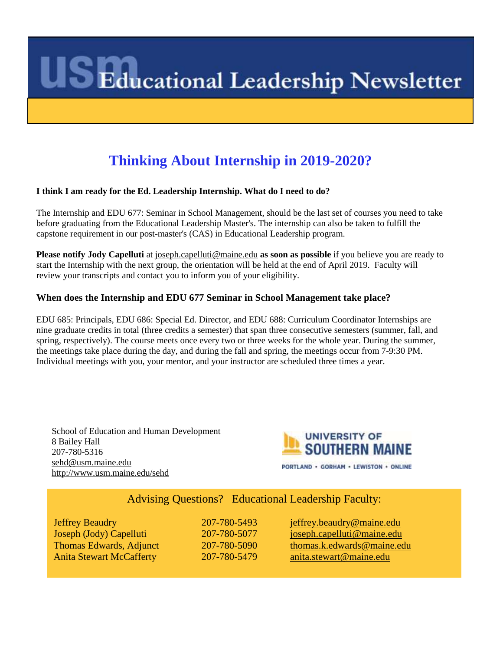### **Thinking About Internship in 2019-2020?**

#### **I think I am ready for the Ed. Leadership Internship. What do I need to do?**

The Internship and EDU 677: Seminar in School Management, should be the last set of courses you need to take before graduating from the Educational Leadership Master's. The internship can also be taken to fulfill the capstone requirement in our post-master's (CAS) in Educational Leadership program.

**Please notify Jody Capelluti** at [joseph.capelluti@maine.edu](mailto:joseph.capelluti@maine.edu) **as soon as possible** if you believe you are ready to start the Internship with the next group, the orientation will be held at the end of April 2019. Faculty will review your transcripts and contact you to inform you of your eligibility.

#### **When does the Internship and EDU 677 Seminar in School Management take place?**

EDU 685: Principals, EDU 686: Special Ed. Director, and EDU 688: Curriculum Coordinator Internships are nine graduate credits in total (three credits a semester) that span three consecutive semesters (summer, fall, and spring, respectively). The course meets once every two or three weeks for the whole year. During the summer, the meetings take place during the day, and during the fall and spring, the meetings occur from 7-9:30 PM. Individual meetings with you, your mentor, and your instructor are scheduled three times a year.

School of Education and Human Development 8 Bailey Hall 207-780-5316 [sehd@usm.maine.edu](mailto:sehd@usm.maine.edu) <http://www.usm.maine.edu/sehd>



#### Advising Questions? Educational Leadership Faculty:

Anita Stewart McCafferty 207-780-5479

Jeffrey Beaudry 207-780-5493 [jeffrey.beaudry@maine.edu](mailto:jeffrey.beaudry@maine.edu) Joseph (Jody) Capelluti 207-780-5077 [joseph.capelluti@maine.edu](mailto:joseph.capelluti@maine.edu) Thomas Edwards, Adjunct 207-780-5090 [thomas.k.edwards@maine.edu](mailto:thomas.k.edwards@maine.edu)<br>
Anita Stewart McCafferty 207-780-5479 anita.stewart@maine.edu